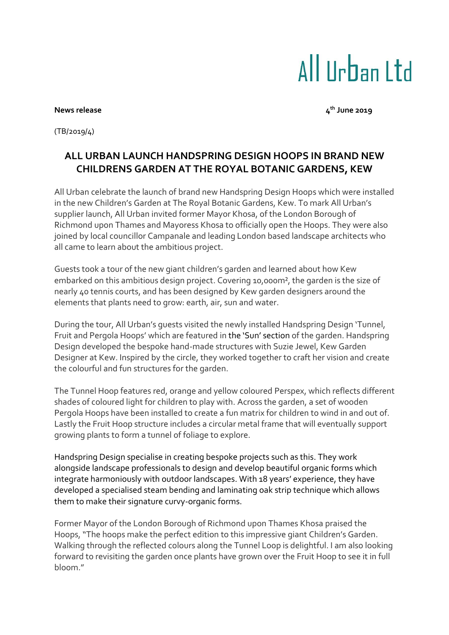## All IIrban I td

## **News** release

**th June 2019**

(TB/2019/4)

## **ALL URBAN LAUNCH HANDSPRING DESIGN HOOPS IN BRAND NEW CHILDRENS GARDEN AT THE ROYAL BOTANIC GARDENS, KEW**

All Urban celebrate the launch of brand new Handspring Design Hoops which were installed in the new Children's Garden at The Royal Botanic Gardens, Kew. To mark All Urban's supplier launch, All Urban invited former Mayor Khosa, of the London Borough of Richmond upon Thames and Mayoress Khosa to officially open the Hoops. They were also joined by local councillor Campanale and leading London based landscape architects who all came to learn about the ambitious project.

Guests took a tour of the new giant children's garden and learned about how Kew embarked on this ambitious design project. Covering 10,000m², the garden is the size of nearly 40 tennis courts, and has been designed by Kew garden designers around the elements that plants need to grow: earth, air, sun and water.

During the tour, All Urban's guests visited the newly installed Handspring Design 'Tunnel, Fruit and Pergola Hoops' which are featured in the 'Sun' section of the garden. Handspring Design developed the bespoke hand-made structures with Suzie Jewel, Kew Garden Designer at Kew. Inspired by the circle, they worked together to craft her vision and create the colourful and fun structures for the garden.

The Tunnel Hoop features red, orange and yellow coloured Perspex, which reflects different shades of coloured light for children to play with. Across the garden, a set of wooden Pergola Hoops have been installed to create a fun matrix for children to wind in and out of. Lastly the Fruit Hoop structure includes a circular metal frame that will eventually support growing plants to form a tunnel of foliage to explore.

Handspring Design specialise in creating bespoke projects such as this. They work alongside landscape professionals to design and develop beautiful organic forms which integrate harmoniously with outdoor landscapes. With 18 years' experience, they have developed a specialised steam bending and laminating oak strip technique which allows them to make their signature curvy-organic forms.

Former Mayor of the London Borough of Richmond upon Thames Khosa praised the Hoops, "The hoops make the perfect edition to this impressive giant Children's Garden. Walking through the reflected colours along the Tunnel Loop is delightful. I am also looking forward to revisiting the garden once plants have grown over the Fruit Hoop to see it in full bloom."